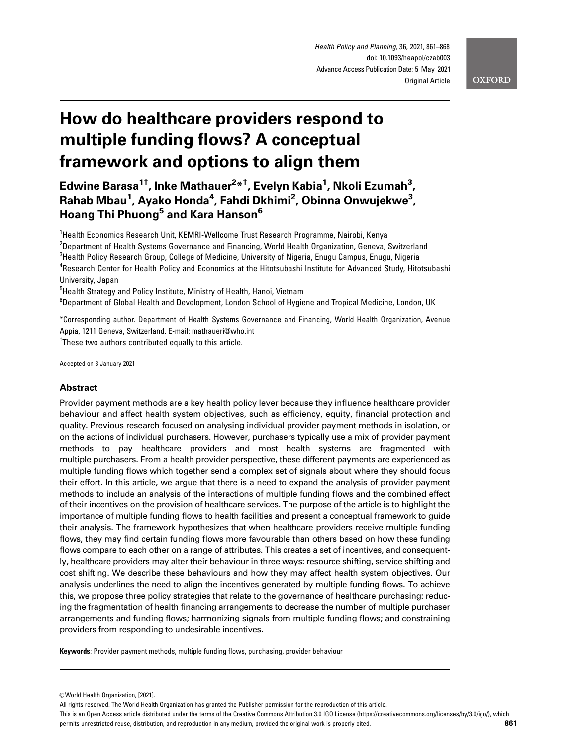# How do healthcare providers respond to multiple funding flows? A conceptual framework and options to align them

Edwine Barasa<sup>1†</sup>, Inke Mathauer<sup>2</sup>\*<sup>†</sup>, Evelyn Kabia<sup>1</sup>, Nkoli Ezumah<sup>3</sup>, Rahab Mbau<sup>1</sup>, Ayako Honda<sup>4</sup>, Fahdi Dkhimi<sup>2</sup>, Obinna Onwujekwe<sup>3</sup>, Hoang Thi Phuong<sup>5</sup> and Kara Hanson<sup>6</sup>

1 Health Economics Research Unit, KEMRI-Wellcome Trust Research Programme, Nairobi, Kenya  $^{\rm 2}$ Department of Health Systems Governance and Financing, World Health Organization, Geneva, Switzerland  $^3$ Health Policy Research Group, College of Medicine, University of Nigeria, Enugu Campus, Enugu, Nigeria <sup>4</sup>Research Center for Health Policy and Economics at the Hitotsubashi Institute for Advanced Study, Hitotsubashi University, Japan

<sup>5</sup>Health Strategy and Policy Institute, Ministry of Health, Hanoi, Vietnam <sup>6</sup>Department of Global Health and Development, London School of Hygiene and Tropical Medicine, London, UK

\*Corresponding author. Department of Health Systems Governance and Financing, World Health Organization, Avenue Appia, 1211 Geneva, Switzerland. E-mail: mathaueri@who.int <sup>†</sup>These two authors contributed equally to this article.

Accepted on 8 January 2021

## Abstract

Provider payment methods are a key health policy lever because they influence healthcare provider behaviour and affect health system objectives, such as efficiency, equity, financial protection and quality. Previous research focused on analysing individual provider payment methods in isolation, or on the actions of individual purchasers. However, purchasers typically use a mix of provider payment methods to pay healthcare providers and most health systems are fragmented with multiple purchasers. From a health provider perspective, these different payments are experienced as multiple funding flows which together send a complex set of signals about where they should focus their effort. In this article, we argue that there is a need to expand the analysis of provider payment methods to include an analysis of the interactions of multiple funding flows and the combined effect of their incentives on the provision of healthcare services. The purpose of the article is to highlight the importance of multiple funding flows to health facilities and present a conceptual framework to guide their analysis. The framework hypothesizes that when healthcare providers receive multiple funding flows, they may find certain funding flows more favourable than others based on how these funding flows compare to each other on a range of attributes. This creates a set of incentives, and consequently, healthcare providers may alter their behaviour in three ways: resource shifting, service shifting and cost shifting. We describe these behaviours and how they may affect health system objectives. Our analysis underlines the need to align the incentives generated by multiple funding flows. To achieve this, we propose three policy strategies that relate to the governance of healthcare purchasing: reducing the fragmentation of health financing arrangements to decrease the number of multiple purchaser arrangements and funding flows; harmonizing signals from multiple funding flows; and constraining providers from responding to undesirable incentives.

Keywords: Provider payment methods, multiple funding flows, purchasing, provider behaviour

All rights reserved. The World Health Organization has granted the Publisher permission for the reproduction of this article.

This is an Open Access article distributed under the terms of the Creative Commons Attribution 3.0 IGO License (https://creativecommons.org/licenses/by/3.0/igo/), which permits unrestricted reuse, distribution, and reproduction in any medium, provided the original work is properly cited. **861**

 $© World Health Organization, [2021].$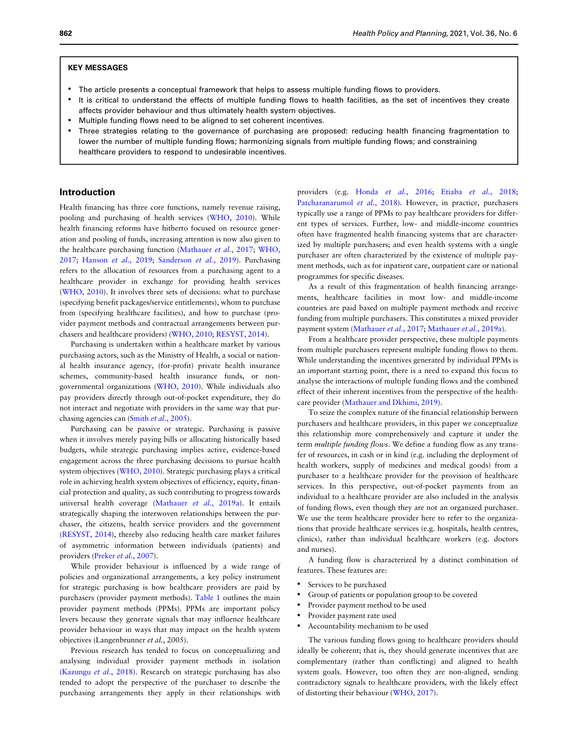## KEY MESSAGES

- The article presents a conceptual framework that helps to assess multiple funding flows to providers.
- It is critical to understand the effects of multiple funding flows to health facilities, as the set of incentives they create affects provider behaviour and thus ultimately health system objectives.
- Multiple funding flows need to be aligned to set coherent incentives.
- Three strategies relating to the governance of purchasing are proposed: reducing health financing fragmentation to lower the number of multiple funding flows; harmonizing signals from multiple funding flows; and constraining healthcare providers to respond to undesirable incentives.

## Introduction

Health financing has three core functions, namely revenue raising, pooling and purchasing of health services [\(WHO, 2010\)](#page-7-0). While health financing reforms have hitherto focused on resource generation and pooling of funds, increasing attention is now also given to the healthcare purchasing function [\(Mathauer](#page-7-0) et al., 2017; [WHO,](#page-7-0) [2017;](#page-7-0) [Hanson](#page-6-0) et al., 2019; [Sanderson](#page-7-0) et al., 2019). Purchasing refers to the allocation of resources from a purchasing agent to a healthcare provider in exchange for providing health services ([WHO, 2010\)](#page-7-0). It involves three sets of decisions: what to purchase (specifying benefit packages/service entitlements), whom to purchase from (specifying healthcare facilities), and how to purchase (provider payment methods and contractual arrangements between purchasers and healthcare providers) ([WHO, 2010;](#page-7-0) [RESYST, 2014\)](#page-7-0).

Purchasing is undertaken within a healthcare market by various purchasing actors, such as the Ministry of Health, a social or national health insurance agency, (for-profit) private health insurance schemes, community-based health insurance funds, or nongovernmental organizations ([WHO, 2010](#page-7-0)). While individuals also pay providers directly through out-of-pocket expenditure, they do not interact and negotiate with providers in the same way that purchasing agencies can (Smith et al.[, 2005](#page-6-0)).

Purchasing can be passive or strategic. Purchasing is passive when it involves merely paying bills or allocating historically based budgets, while strategic purchasing implies active, evidence-based engagement across the three purchasing decisions to pursue health system objectives ([WHO, 2010\)](#page-7-0). Strategic purchasing plays a critical role in achieving health system objectives of efficiency, equity, financial protection and quality, as such contributing to progress towards universal health coverage ([Mathauer](#page-7-0) et al., 2019a). It entails strategically shaping the interwoven relationships between the purchaser, the citizens, health service providers and the government ([RESYST, 2014](#page-7-0)), thereby also reducing health care market failures of asymmetric information between individuals (patients) and providers (Preker et al.[, 2007\)](#page-7-0).

While provider behaviour is influenced by a wide range of policies and organizational arrangements, a key policy instrument for strategic purchasing is how healthcare providers are paid by purchasers (provider payment methods). [Table 1](#page-2-0) outlines the main provider payment methods (PPMs). PPMs are important policy levers because they generate signals that may influence healthcare provider behaviour in ways that may impact on the health system objectives (Langenbrunner et al., 2005).

Previous research has tended to focus on conceptualizing and analysing individual provider payment methods in isolation ([Kazungu](#page-7-0) et al., 2018). Research on strategic purchasing has also tended to adopt the perspective of the purchaser to describe the purchasing arrangements they apply in their relationships with providers (e.g. Honda et al.[, 2016;](#page-7-0) Etiaba et al.[, 2018;](#page-6-0) [Patcharanarumol](#page-7-0) et al., 2018). However, in practice, purchasers typically use a range of PPMs to pay healthcare providers for different types of services. Further, low- and middle-income countries often have fragmented health financing systems that are characterized by multiple purchasers; and even health systems with a single purchaser are often characterized by the existence of multiple payment methods, such as for inpatient care, outpatient care or national programmes for specific diseases.

As a result of this fragmentation of health financing arrangements, healthcare facilities in most low- and middle-income countries are paid based on multiple payment methods and receive funding from multiple purchasers. This constitutes a mixed provider payment system [\(Mathauer](#page-7-0) et al., 2017; [Mathauer](#page-7-0) et al., 2019a).

From a healthcare provider perspective, these multiple payments from multiple purchasers represent multiple funding flows to them. While understanding the incentives generated by individual PPMs is an important starting point, there is a need to expand this focus to analyse the interactions of multiple funding flows and the combined effect of their inherent incentives from the perspective of the healthcare provider [\(Mathauer and Dkhimi, 2019](#page-7-0)).

To seize the complex nature of the financial relationship between purchasers and healthcare providers, in this paper we conceptualize this relationship more comprehensively and capture it under the term multiple funding flows. We define a funding flow as any transfer of resources, in cash or in kind (e.g. including the deployment of health workers, supply of medicines and medical goods) from a purchaser to a healthcare provider for the provision of healthcare services. In this perspective, out-of-pocket payments from an individual to a healthcare provider are also included in the analysis of funding flows, even though they are not an organized purchaser. We use the term healthcare provider here to refer to the organizations that provide healthcare services (e.g. hospitals, health centres, clinics), rather than individual healthcare workers (e.g. doctors and nurses).

A funding flow is characterized by a distinct combination of features. These features are:

- Services to be purchased
- Group of patients or population group to be covered
- Provider payment method to be used
- Provider payment rate used
- Accountability mechanism to be used

The various funding flows going to healthcare providers should ideally be coherent; that is, they should generate incentives that are complementary (rather than conflicting) and aligned to health system goals. However, too often they are non-aligned, sending contradictory signals to healthcare providers, with the likely effect of distorting their behaviour [\(WHO, 2017\)](#page-7-0).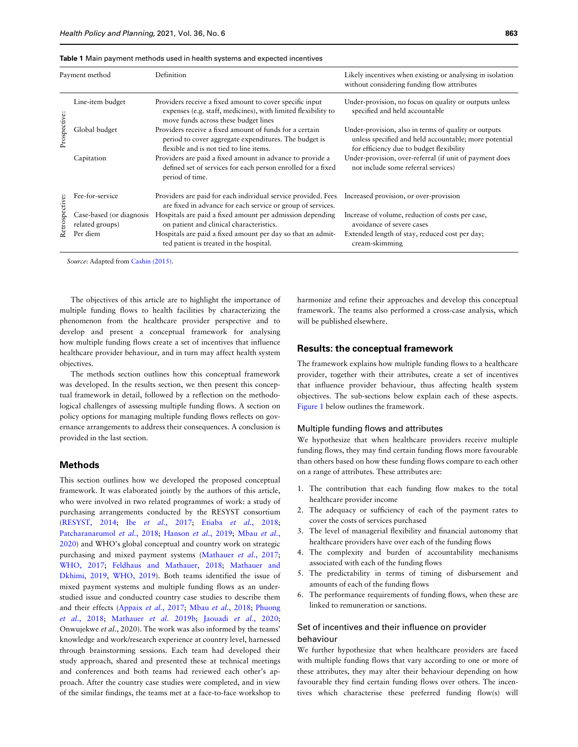<span id="page-2-0"></span>

| Payment method      |                                             | Definition                                                                                                                                                        | Likely incentives when existing or analysing in isolation<br>without considering funding flow attributes                                                  |
|---------------------|---------------------------------------------|-------------------------------------------------------------------------------------------------------------------------------------------------------------------|-----------------------------------------------------------------------------------------------------------------------------------------------------------|
| Prospective:        | Line-item budget                            | Providers receive a fixed amount to cover specific input<br>expenses (e.g. staff, medicines), with limited flexibility to<br>move funds across these budget lines | Under-provision, no focus on quality or outputs unless<br>specified and held accountable                                                                  |
|                     | Global budget                               | Providers receive a fixed amount of funds for a certain<br>period to cover aggregate expenditures. The budget is<br>flexible and is not tied to line items.       | Under-provision, also in terms of quality or outputs<br>unless specified and held accountable; more potential<br>for efficiency due to budget flexibility |
|                     | Capitation                                  | Providers are paid a fixed amount in advance to provide a<br>defined set of services for each person enrolled for a fixed<br>period of time.                      | Under-provision, over-referral (if unit of payment does<br>not include some referral services)                                                            |
| spective:<br>Retros | Fee-for-service                             | Providers are paid for each individual service provided. Fees<br>are fixed in advance for each service or group of services.                                      | Increased provision, or over-provision                                                                                                                    |
|                     | Case-based (or diagnosis<br>related groups) | Hospitals are paid a fixed amount per admission depending<br>on patient and clinical characteristics.                                                             | Increase of volume, reduction of costs per case,<br>avoidance of severe cases                                                                             |
|                     | Per diem                                    | Hospitals are paid a fixed amount per day so that an admit-<br>ted patient is treated in the hospital.                                                            | Extended length of stay, reduced cost per day;<br>cream-skimming                                                                                          |

Source: Adapted from [Cashin \(2015\).](#page-6-0)

The objectives of this article are to highlight the importance of multiple funding flows to health facilities by characterizing the phenomenon from the healthcare provider perspective and to develop and present a conceptual framework for analysing how multiple funding flows create a set of incentives that influence healthcare provider behaviour, and in turn may affect health system objectives.

The methods section outlines how this conceptual framework was developed. In the results section, we then present this conceptual framework in detail, followed by a reflection on the methodological challenges of assessing multiple funding flows. A section on policy options for managing multiple funding flows reflects on governance arrangements to address their consequences. A conclusion is provided in the last section.

### Methods

This section outlines how we developed the proposed conceptual framework. It was elaborated jointly by the authors of this article, who were involved in two related programmes of work: a study of purchasing arrangements conducted by the RESYST consortium ([RESYST, 2014](#page-7-0); Ibe et al.[, 2017](#page-7-0); Etiaba et al.[, 2018;](#page-6-0) [Patcharanarumol](#page-7-0) et al., 2018; [Hanson](#page-6-0) et al., 2019; [Mbau](#page-7-0) et al., [2020\)](#page-7-0) and WHO's global conceptual and country work on strategic purchasing and mixed payment systems ([Mathauer](#page-7-0) et al., 2017; [WHO, 2017;](#page-7-0) [Feldhaus and Mathauer, 2018](#page-6-0); [Mathauer and](#page-7-0) [Dkhimi, 2019](#page-7-0), [WHO, 2019\)](#page-7-0). Both teams identified the issue of mixed payment systems and multiple funding flows as an understudied issue and conducted country case studies to describe them and their effects ([Appaix](#page-6-0) et al., 2017; Mbau et al.[, 2018;](#page-7-0) [Phuong](#page-7-0) et al.[, 2018;](#page-7-0) [Mathauer](#page-7-0) et al. 2019b; [Jaouadi](#page-7-0) et al., 2020; Onwujekwe et al., 2020). The work was also informed by the teams' knowledge and work/research experience at country level, harnessed through brainstorming sessions. Each team had developed their study approach, shared and presented these at technical meetings and conferences and both teams had reviewed each other's approach. After the country case studies were completed, and in view of the similar findings, the teams met at a face-to-face workshop to

harmonize and refine their approaches and develop this conceptual framework. The teams also performed a cross-case analysis, which will be published elsewhere.

## Results: the conceptual framework

The framework explains how multiple funding flows to a healthcare provider, together with their attributes, create a set of incentives that influence provider behaviour, thus affecting health system objectives. The sub-sections below explain each of these aspects. [Figure 1](#page-3-0) below outlines the framework.

#### Multiple funding flows and attributes

We hypothesize that when healthcare providers receive multiple funding flows, they may find certain funding flows more favourable than others based on how these funding flows compare to each other on a range of attributes. These attributes are:

- 1. The contribution that each funding flow makes to the total healthcare provider income
- 2. The adequacy or sufficiency of each of the payment rates to cover the costs of services purchased
- 3. The level of managerial flexibility and financial autonomy that healthcare providers have over each of the funding flows
- 4. The complexity and burden of accountability mechanisms associated with each of the funding flows
- 5. The predictability in terms of timing of disbursement and amounts of each of the funding flows
- 6. The performance requirements of funding flows, when these are linked to remuneration or sanctions.

# Set of incentives and their influence on provider behaviour

We further hypothesize that when healthcare providers are faced with multiple funding flows that vary according to one or more of these attributes, they may alter their behaviour depending on how favourable they find certain funding flows over others. The incentives which characterise these preferred funding flow(s) will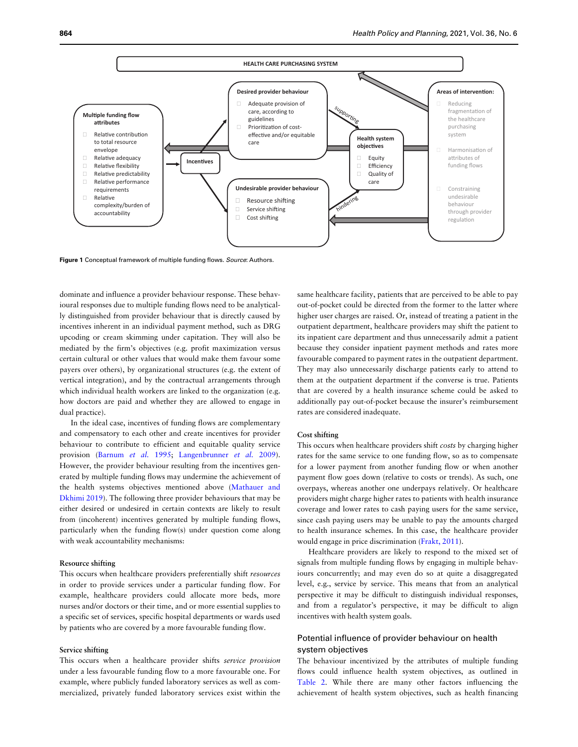<span id="page-3-0"></span>

Figure 1 Conceptual framework of multiple funding flows. Source: Authors.

dominate and influence a provider behaviour response. These behavioural responses due to multiple funding flows need to be analytically distinguished from provider behaviour that is directly caused by incentives inherent in an individual payment method, such as DRG upcoding or cream skimming under capitation. They will also be mediated by the firm's objectives (e.g. profit maximization versus certain cultural or other values that would make them favour some payers over others), by organizational structures (e.g. the extent of vertical integration), and by the contractual arrangements through which individual health workers are linked to the organization (e.g. how doctors are paid and whether they are allowed to engage in dual practice).

In the ideal case, incentives of funding flows are complementary and compensatory to each other and create incentives for provider behaviour to contribute to efficient and equitable quality service provision ([Barnum](#page-6-0) et al. 1995; [Langenbrunner](#page-7-0) et al. 2009). However, the provider behaviour resulting from the incentives generated by multiple funding flows may undermine the achievement of the health systems objectives mentioned above [\(Mathauer and](#page-7-0) [Dkhimi 2019](#page-7-0)). The following three provider behaviours that may be either desired or undesired in certain contexts are likely to result from (incoherent) incentives generated by multiple funding flows, particularly when the funding flow(s) under question come along with weak accountability mechanisms:

#### Resource shifting

This occurs when healthcare providers preferentially shift resources in order to provide services under a particular funding flow. For example, healthcare providers could allocate more beds, more nurses and/or doctors or their time, and or more essential supplies to a specific set of services, specific hospital departments or wards used by patients who are covered by a more favourable funding flow.

#### Service shifting

This occurs when a healthcare provider shifts service provision under a less favourable funding flow to a more favourable one. For example, where publicly funded laboratory services as well as commercialized, privately funded laboratory services exist within the same healthcare facility, patients that are perceived to be able to pay out-of-pocket could be directed from the former to the latter where higher user charges are raised. Or, instead of treating a patient in the outpatient department, healthcare providers may shift the patient to its inpatient care department and thus unnecessarily admit a patient because they consider inpatient payment methods and rates more favourable compared to payment rates in the outpatient department. They may also unnecessarily discharge patients early to attend to them at the outpatient department if the converse is true. Patients that are covered by a health insurance scheme could be asked to additionally pay out-of-pocket because the insurer's reimbursement rates are considered inadequate.

#### Cost shifting

This occurs when healthcare providers shift costs by charging higher rates for the same service to one funding flow, so as to compensate for a lower payment from another funding flow or when another payment flow goes down (relative to costs or trends). As such, one overpays, whereas another one underpays relatively. Or healthcare providers might charge higher rates to patients with health insurance coverage and lower rates to cash paying users for the same service, since cash paying users may be unable to pay the amounts charged to health insurance schemes. In this case, the healthcare provider would engage in price discrimination [\(Frakt, 2011](#page-6-0)).

Healthcare providers are likely to respond to the mixed set of signals from multiple funding flows by engaging in multiple behaviours concurrently; and may even do so at quite a disaggregated level, e.g., service by service. This means that from an analytical perspective it may be difficult to distinguish individual responses, and from a regulator's perspective, it may be difficult to align incentives with health system goals.

# Potential influence of provider behaviour on health system objectives

The behaviour incentivized by the attributes of multiple funding flows could influence health system objectives, as outlined in [Table 2.](#page-4-0) While there are many other factors influencing the achievement of health system objectives, such as health financing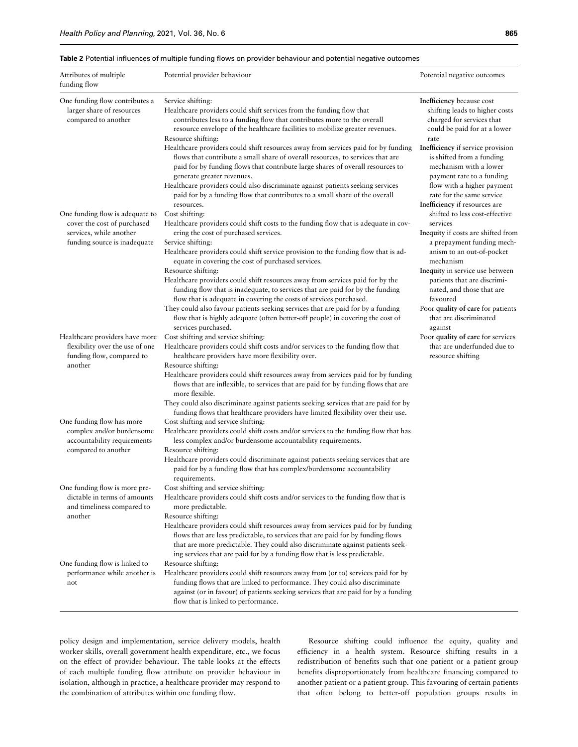#### <span id="page-4-0"></span>Table 2 Potential influences of multiple funding flows on provider behaviour and potential negative outcomes

| Attributes of multiple<br>funding flow                                                                                    | Potential provider behaviour                                                                                                                                                                                                                                                                                                                                                                           | Potential negative outcomes                                                                                                                                           |  |
|---------------------------------------------------------------------------------------------------------------------------|--------------------------------------------------------------------------------------------------------------------------------------------------------------------------------------------------------------------------------------------------------------------------------------------------------------------------------------------------------------------------------------------------------|-----------------------------------------------------------------------------------------------------------------------------------------------------------------------|--|
| One funding flow contributes a<br>larger share of resources<br>compared to another                                        | Service shifting:<br>Healthcare providers could shift services from the funding flow that<br>contributes less to a funding flow that contributes more to the overall<br>resource envelope of the healthcare facilities to mobilize greater revenues.<br>Resource shifting:<br>Healthcare providers could shift resources away from services paid for by funding                                        | Inefficiency because cost<br>shifting leads to higher costs<br>charged for services that<br>could be paid for at a lower<br>rate<br>Inefficiency if service provision |  |
|                                                                                                                           | flows that contribute a small share of overall resources, to services that are<br>paid for by funding flows that contribute large shares of overall resources to<br>generate greater revenues.<br>Healthcare providers could also discriminate against patients seeking services<br>paid for by a funding flow that contributes to a small share of the overall                                        | is shifted from a funding<br>mechanism with a lower<br>payment rate to a funding<br>flow with a higher payment<br>rate for the same service                           |  |
| One funding flow is adequate to<br>cover the cost of purchased<br>services, while another<br>funding source is inadequate | resources.<br>Cost shifting:<br>Healthcare providers could shift costs to the funding flow that is adequate in cov-<br>ering the cost of purchased services.<br>Service shifting:                                                                                                                                                                                                                      | Inefficiency if resources are<br>shifted to less cost-effective<br>services<br>Inequity if costs are shifted from<br>a prepayment funding mech-                       |  |
|                                                                                                                           | Healthcare providers could shift service provision to the funding flow that is ad-<br>equate in covering the cost of purchased services.<br>Resource shifting:<br>Healthcare providers could shift resources away from services paid for by the<br>funding flow that is inadequate, to services that are paid for by the funding<br>flow that is adequate in covering the costs of services purchased. | anism to an out-of-pocket<br>mechanism<br>Inequity in service use between<br>patients that are discrimi-<br>nated, and those that are<br>favoured                     |  |
| Healthcare providers have more                                                                                            | They could also favour patients seeking services that are paid for by a funding<br>flow that is highly adequate (often better-off people) in covering the cost of<br>services purchased.<br>Cost shifting and service shifting:                                                                                                                                                                        | Poor quality of care for patients<br>that are discriminated<br>against<br>Poor quality of care for services                                                           |  |
| flexibility over the use of one<br>funding flow, compared to<br>another                                                   | Healthcare providers could shift costs and/or services to the funding flow that<br>healthcare providers have more flexibility over.<br>Resource shifting:                                                                                                                                                                                                                                              | that are underfunded due to<br>resource shifting                                                                                                                      |  |
|                                                                                                                           | Healthcare providers could shift resources away from services paid for by funding<br>flows that are inflexible, to services that are paid for by funding flows that are<br>more flexible.<br>They could also discriminate against patients seeking services that are paid for by<br>funding flows that healthcare providers have limited flexibility over their use.                                   |                                                                                                                                                                       |  |
| One funding flow has more<br>complex and/or burdensome<br>accountability requirements<br>compared to another              | Cost shifting and service shifting:<br>Healthcare providers could shift costs and/or services to the funding flow that has<br>less complex and/or burdensome accountability requirements.<br>Resource shifting:<br>Healthcare providers could discriminate against patients seeking services that are                                                                                                  |                                                                                                                                                                       |  |
| One funding flow is more pre-                                                                                             | paid for by a funding flow that has complex/burdensome accountability<br>requirements.<br>Cost shifting and service shifting:                                                                                                                                                                                                                                                                          |                                                                                                                                                                       |  |
| dictable in terms of amounts<br>and timeliness compared to<br>another                                                     | Healthcare providers could shift costs and/or services to the funding flow that is<br>more predictable.<br>Resource shifting:                                                                                                                                                                                                                                                                          |                                                                                                                                                                       |  |
|                                                                                                                           | Healthcare providers could shift resources away from services paid for by funding<br>flows that are less predictable, to services that are paid for by funding flows<br>that are more predictable. They could also discriminate against patients seek-<br>ing services that are paid for by a funding flow that is less predictable.                                                                   |                                                                                                                                                                       |  |
| One funding flow is linked to<br>performance while another is<br>not                                                      | Resource shifting:<br>Healthcare providers could shift resources away from (or to) services paid for by<br>funding flows that are linked to performance. They could also discriminate<br>against (or in favour) of patients seeking services that are paid for by a funding<br>flow that is linked to performance.                                                                                     |                                                                                                                                                                       |  |

policy design and implementation, service delivery models, health worker skills, overall government health expenditure, etc., we focus on the effect of provider behaviour. The table looks at the effects of each multiple funding flow attribute on provider behaviour in isolation, although in practice, a healthcare provider may respond to the combination of attributes within one funding flow.

Resource shifting could influence the equity, quality and efficiency in a health system. Resource shifting results in a redistribution of benefits such that one patient or a patient group benefits disproportionately from healthcare financing compared to another patient or a patient group. This favouring of certain patients that often belong to better-off population groups results in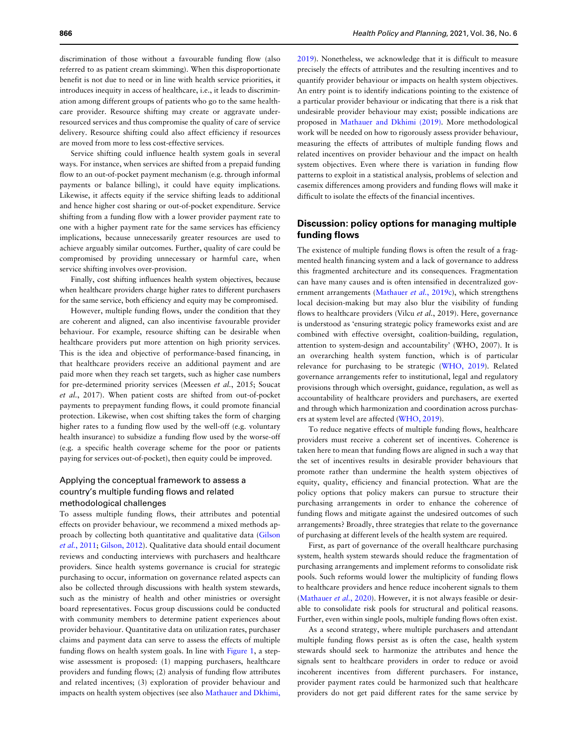discrimination of those without a favourable funding flow (also referred to as patient cream skimming). When this disproportionate benefit is not due to need or in line with health service priorities, it introduces inequity in access of healthcare, i.e., it leads to discrimination among different groups of patients who go to the same healthcare provider. Resource shifting may create or aggravate underresourced services and thus compromise the quality of care of service delivery. Resource shifting could also affect efficiency if resources are moved from more to less cost-effective services.

Service shifting could influence health system goals in several ways. For instance, when services are shifted from a prepaid funding flow to an out-of-pocket payment mechanism (e.g. through informal payments or balance billing), it could have equity implications. Likewise, it affects equity if the service shifting leads to additional and hence higher cost sharing or out-of-pocket expenditure. Service shifting from a funding flow with a lower provider payment rate to one with a higher payment rate for the same services has efficiency implications, because unnecessarily greater resources are used to achieve arguably similar outcomes. Further, quality of care could be compromised by providing unnecessary or harmful care, when service shifting involves over-provision.

Finally, cost shifting influences health system objectives, because when healthcare providers charge higher rates to different purchasers for the same service, both efficiency and equity may be compromised.

However, multiple funding flows, under the condition that they are coherent and aligned, can also incentivise favourable provider behaviour. For example, resource shifting can be desirable when healthcare providers put more attention on high priority services. This is the idea and objective of performance-based financing, in that healthcare providers receive an additional payment and are paid more when they reach set targets, such as higher case numbers for pre-determined priority services (Meessen et al., 2015; Soucat et al., 2017). When patient costs are shifted from out-of-pocket payments to prepayment funding flows, it could promote financial protection. Likewise, when cost shifting takes the form of charging higher rates to a funding flow used by the well-off (e.g. voluntary health insurance) to subsidize a funding flow used by the worse-off (e.g. a specific health coverage scheme for the poor or patients paying for services out-of-pocket), then equity could be improved.

# Applying the conceptual framework to assess a country's multiple funding flows and related methodological challenges

To assess multiple funding flows, their attributes and potential effects on provider behaviour, we recommend a mixed methods approach by collecting both quantitative and qualitative data ([Gilson](#page-6-0) et al.[, 2011](#page-6-0); [Gilson, 2012](#page-6-0)). Qualitative data should entail document reviews and conducting interviews with purchasers and healthcare providers. Since health systems governance is crucial for strategic purchasing to occur, information on governance related aspects can also be collected through discussions with health system stewards, such as the ministry of health and other ministries or oversight board representatives. Focus group discussions could be conducted with community members to determine patient experiences about provider behaviour. Quantitative data on utilization rates, purchaser claims and payment data can serve to assess the effects of multiple funding flows on health system goals. In line with [Figure 1](#page-3-0), a stepwise assessment is proposed: (1) mapping purchasers, healthcare providers and funding flows; (2) analysis of funding flow attributes and related incentives; (3) exploration of provider behaviour and impacts on health system objectives (see also [Mathauer and Dkhimi,](#page-7-0)

[2019\)](#page-7-0). Nonetheless, we acknowledge that it is difficult to measure precisely the effects of attributes and the resulting incentives and to quantify provider behaviour or impacts on health system objectives. An entry point is to identify indications pointing to the existence of a particular provider behaviour or indicating that there is a risk that undesirable provider behaviour may exist; possible indications are proposed in [Mathauer and Dkhimi \(2019\)](#page-7-0). More methodological work will be needed on how to rigorously assess provider behaviour, measuring the effects of attributes of multiple funding flows and related incentives on provider behaviour and the impact on health system objectives. Even where there is variation in funding flow patterns to exploit in a statistical analysis, problems of selection and casemix differences among providers and funding flows will make it difficult to isolate the effects of the financial incentives.

# Discussion: policy options for managing multiple funding flows

The existence of multiple funding flows is often the result of a fragmented health financing system and a lack of governance to address this fragmented architecture and its consequences. Fragmentation can have many causes and is often intensified in decentralized gov-ernment arrangements [\(Mathauer](#page-7-0) et al., 2019c), which strengthens local decision-making but may also blur the visibility of funding flows to healthcare providers (Vilcu et al., 2019). Here, governance is understood as 'ensuring strategic policy frameworks exist and are combined with effective oversight, coalition-building, regulation, attention to system-design and accountability' (WHO, 2007). It is an overarching health system function, which is of particular relevance for purchasing to be strategic [\(WHO, 2019\)](#page-7-0). Related governance arrangements refer to institutional, legal and regulatory provisions through which oversight, guidance, regulation, as well as accountability of healthcare providers and purchasers, are exerted and through which harmonization and coordination across purchasers at system level are affected ([WHO, 2019\)](#page-7-0).

To reduce negative effects of multiple funding flows, healthcare providers must receive a coherent set of incentives. Coherence is taken here to mean that funding flows are aligned in such a way that the set of incentives results in desirable provider behaviours that promote rather than undermine the health system objectives of equity, quality, efficiency and financial protection. What are the policy options that policy makers can pursue to structure their purchasing arrangements in order to enhance the coherence of funding flows and mitigate against the undesired outcomes of such arrangements? Broadly, three strategies that relate to the governance of purchasing at different levels of the health system are required.

First, as part of governance of the overall healthcare purchasing system, health system stewards should reduce the fragmentation of purchasing arrangements and implement reforms to consolidate risk pools. Such reforms would lower the multiplicity of funding flows to healthcare providers and hence reduce incoherent signals to them ([Mathauer](#page-7-0) et al., 2020). However, it is not always feasible or desirable to consolidate risk pools for structural and political reasons. Further, even within single pools, multiple funding flows often exist.

As a second strategy, where multiple purchasers and attendant multiple funding flows persist as is often the case, health system stewards should seek to harmonize the attributes and hence the signals sent to healthcare providers in order to reduce or avoid incoherent incentives from different purchasers. For instance, provider payment rates could be harmonized such that healthcare providers do not get paid different rates for the same service by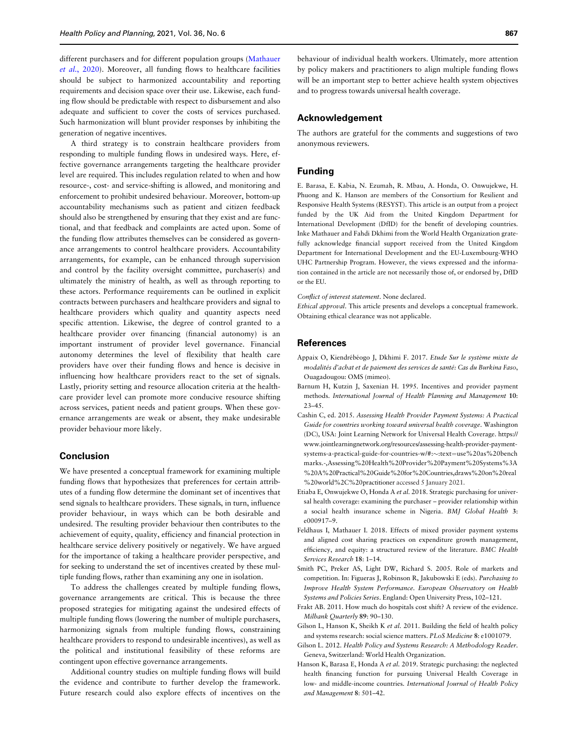<span id="page-6-0"></span>different purchasers and for different population groups [\(Mathauer](#page-7-0) et al.[, 2020](#page-7-0)). Moreover, all funding flows to healthcare facilities should be subject to harmonized accountability and reporting requirements and decision space over their use. Likewise, each funding flow should be predictable with respect to disbursement and also adequate and sufficient to cover the costs of services purchased. Such harmonization will blunt provider responses by inhibiting the generation of negative incentives.

A third strategy is to constrain healthcare providers from responding to multiple funding flows in undesired ways. Here, effective governance arrangements targeting the healthcare provider level are required. This includes regulation related to when and how resource-, cost- and service-shifting is allowed, and monitoring and enforcement to prohibit undesired behaviour. Moreover, bottom-up accountability mechanisms such as patient and citizen feedback should also be strengthened by ensuring that they exist and are functional, and that feedback and complaints are acted upon. Some of the funding flow attributes themselves can be considered as governance arrangements to control healthcare providers. Accountability arrangements, for example, can be enhanced through supervision and control by the facility oversight committee, purchaser(s) and ultimately the ministry of health, as well as through reporting to these actors. Performance requirements can be outlined in explicit contracts between purchasers and healthcare providers and signal to healthcare providers which quality and quantity aspects need specific attention. Likewise, the degree of control granted to a healthcare provider over financing (financial autonomy) is an important instrument of provider level governance. Financial autonomy determines the level of flexibility that health care providers have over their funding flows and hence is decisive in influencing how healthcare providers react to the set of signals. Lastly, priority setting and resource allocation criteria at the healthcare provider level can promote more conducive resource shifting across services, patient needs and patient groups. When these governance arrangements are weak or absent, they make undesirable provider behaviour more likely.

## Conclusion

We have presented a conceptual framework for examining multiple funding flows that hypothesizes that preferences for certain attributes of a funding flow determine the dominant set of incentives that send signals to healthcare providers. These signals, in turn, influence provider behaviour, in ways which can be both desirable and undesired. The resulting provider behaviour then contributes to the achievement of equity, quality, efficiency and financial protection in healthcare service delivery positively or negatively. We have argued for the importance of taking a healthcare provider perspective, and for seeking to understand the set of incentives created by these multiple funding flows, rather than examining any one in isolation.

To address the challenges created by multiple funding flows, governance arrangements are critical. This is because the three proposed strategies for mitigating against the undesired effects of multiple funding flows (lowering the number of multiple purchasers, harmonizing signals from multiple funding flows, constraining healthcare providers to respond to undesirable incentives), as well as the political and institutional feasibility of these reforms are contingent upon effective governance arrangements.

Additional country studies on multiple funding flows will build the evidence and contribute to further develop the framework. Future research could also explore effects of incentives on the

behaviour of individual health workers. Ultimately, more attention by policy makers and practitioners to align multiple funding flows will be an important step to better achieve health system objectives and to progress towards universal health coverage.

# Acknowledgement

The authors are grateful for the comments and suggestions of two anonymous reviewers.

## Funding

E. Barasa, E. Kabia, N. Ezumah, R. Mbau, A. Honda, O. Onwujekwe, H. Phuong and K. Hanson are members of the Consortium for Resilient and Responsive Health Systems (RESYST). This article is an output from a project funded by the UK Aid from the United Kingdom Department for International Development (DfID) for the benefit of developing countries. Inke Mathauer and Fahdi Dkhimi from the World Health Organization gratefully acknowledge financial support received from the United Kingdom Department for International Development and the EU-Luxembourg-WHO UHC Partnership Program. However, the views expressed and the information contained in the article are not necessarily those of, or endorsed by, DfID or the EU.

Conflict of interest statement. None declared.

Ethical approval. This article presents and develops a conceptual framework. Obtaining ethical clearance was not applicable.

#### References

- Appaix O, Kiendrébéogo J, Dkhimi F. 2017. Etude Sur le système mixte de modalités d'achat et de paiement des services de santé: Cas du Burkina Faso, Ouagadougou: OMS (mimeo).
- Barnum H, Kutzin J, Saxenian H. 1995. Incentives and provider payment methods. International Journal of Health Planning and Management 10: 23–45.
- Cashin C, ed. 2015. Assessing Health Provider Payment Systems: A Practical Guide for countries working toward universal health coverage. Washington (DC), USA: Joint Learning Network for Universal Health Coverage. [https://](https://www.jointlearningnetwork.org/resources/assessing-health-provider-payment-systems-a-practical-guide-for-countries-w/#:&hx0026;sim;:text=use&hx0025;20as&hx0025;20benchmarks.-,Assessing&hx0025;20Health&hx0025;20Provider&hx0025;20Payment&hx0025;20Systems&hx0025;3A&hx0025;20A&hx0025;20Practical&hx0025;20Guide&hx0025;20for&hx0025;20Countries,draws&hx0025;20on&hx0025;20real&hx0025;20world&hx0025;2C&hx0025;20practitioner ) [www.jointlearningnetwork.org/resources/assessing-health-provider-payment](https://www.jointlearningnetwork.org/resources/assessing-health-provider-payment-systems-a-practical-guide-for-countries-w/#:&hx0026;sim;:text=use&hx0025;20as&hx0025;20benchmarks.-,Assessing&hx0025;20Health&hx0025;20Provider&hx0025;20Payment&hx0025;20Systems&hx0025;3A&hx0025;20A&hx0025;20Practical&hx0025;20Guide&hx0025;20for&hx0025;20Countries,draws&hx0025;20on&hx0025;20real&hx0025;20world&hx0025;2C&hx0025;20practitioner )[systems-a-practical-guide-for-countries-w/#:](https://www.jointlearningnetwork.org/resources/assessing-health-provider-payment-systems-a-practical-guide-for-countries-w/#:&hx0026;sim;:text=use&hx0025;20as&hx0025;20benchmarks.-,Assessing&hx0025;20Health&hx0025;20Provider&hx0025;20Payment&hx0025;20Systems&hx0025;3A&hx0025;20A&hx0025;20Practical&hx0025;20Guide&hx0025;20for&hx0025;20Countries,draws&hx0025;20on&hx0025;20real&hx0025;20world&hx0025;2C&hx0025;20practitioner )~[:text](https://www.jointlearningnetwork.org/resources/assessing-health-provider-payment-systems-a-practical-guide-for-countries-w/#:&hx0026;sim;:text=use&hx0025;20as&hx0025;20benchmarks.-,Assessing&hx0025;20Health&hx0025;20Provider&hx0025;20Payment&hx0025;20Systems&hx0025;3A&hx0025;20A&hx0025;20Practical&hx0025;20Guide&hx0025;20for&hx0025;20Countries,draws&hx0025;20on&hx0025;20real&hx0025;20world&hx0025;2C&hx0025;20practitioner )=[use%20as%20bench](https://www.jointlearningnetwork.org/resources/assessing-health-provider-payment-systems-a-practical-guide-for-countries-w/#:&hx0026;sim;:text=use&hx0025;20as&hx0025;20benchmarks.-,Assessing&hx0025;20Health&hx0025;20Provider&hx0025;20Payment&hx0025;20Systems&hx0025;3A&hx0025;20A&hx0025;20Practical&hx0025;20Guide&hx0025;20for&hx0025;20Countries,draws&hx0025;20on&hx0025;20real&hx0025;20world&hx0025;2C&hx0025;20practitioner ) [marks.-,Assessing%20Health%20Provider%20Payment%20Systems%3A](https://www.jointlearningnetwork.org/resources/assessing-health-provider-payment-systems-a-practical-guide-for-countries-w/#:&hx0026;sim;:text=use&hx0025;20as&hx0025;20benchmarks.-,Assessing&hx0025;20Health&hx0025;20Provider&hx0025;20Payment&hx0025;20Systems&hx0025;3A&hx0025;20A&hx0025;20Practical&hx0025;20Guide&hx0025;20for&hx0025;20Countries,draws&hx0025;20on&hx0025;20real&hx0025;20world&hx0025;2C&hx0025;20practitioner ) [%20A%20Practical%20Guide%20for%20Countries,draws%20on%20real](https://www.jointlearningnetwork.org/resources/assessing-health-provider-payment-systems-a-practical-guide-for-countries-w/#:&hx0026;sim;:text=use&hx0025;20as&hx0025;20benchmarks.-,Assessing&hx0025;20Health&hx0025;20Provider&hx0025;20Payment&hx0025;20Systems&hx0025;3A&hx0025;20A&hx0025;20Practical&hx0025;20Guide&hx0025;20for&hx0025;20Countries,draws&hx0025;20on&hx0025;20real&hx0025;20world&hx0025;2C&hx0025;20practitioner ) [%20world%2C%20practitioner](https://www.jointlearningnetwork.org/resources/assessing-health-provider-payment-systems-a-practical-guide-for-countries-w/#:&hx0026;sim;:text=use&hx0025;20as&hx0025;20benchmarks.-,Assessing&hx0025;20Health&hx0025;20Provider&hx0025;20Payment&hx0025;20Systems&hx0025;3A&hx0025;20A&hx0025;20Practical&hx0025;20Guide&hx0025;20for&hx0025;20Countries,draws&hx0025;20on&hx0025;20real&hx0025;20world&hx0025;2C&hx0025;20practitioner ) accessed 5 January 2021.
- Etiaba E, Onwujekwe O, Honda A et al. 2018. Strategic purchasing for universal health coverage: examining the purchaser – provider relationship within a social health insurance scheme in Nigeria. BMJ Global Health 3: e000917–9.
- Feldhaus I, Mathauer I. 2018. Effects of mixed provider payment systems and aligned cost sharing practices on expenditure growth management, efficiency, and equity: a structured review of the literature. BMC Health Services Research 18: 1–14.
- Smith PC, Preker AS, Light DW, Richard S. 2005. Role of markets and competition. In: Figueras J, Robinson R, Jakubowski E (eds). Purchasing to Improve Health System Performance. European Observatory on Health Systems and Policies Series. England: Open University Press, 102–121.
- Frakt AB. 2011. How much do hospitals cost shift? A review of the evidence. Milbank Quarterly 89: 90–130.
- Gilson L, Hanson K, Sheikh K et al. 2011. Building the field of health policy and systems research: social science matters. PLoS Medicine 8: e1001079.
- Gilson L. 2012. Health Policy and Systems Research: A Methodology Reader. Geneva, Switzerland: World Health Organization.
- Hanson K, Barasa E, Honda A et al. 2019. Strategic purchasing: the neglected health financing function for pursuing Universal Health Coverage in low- and middle-income countries. International Journal of Health Policy and Management 8: 501–42.